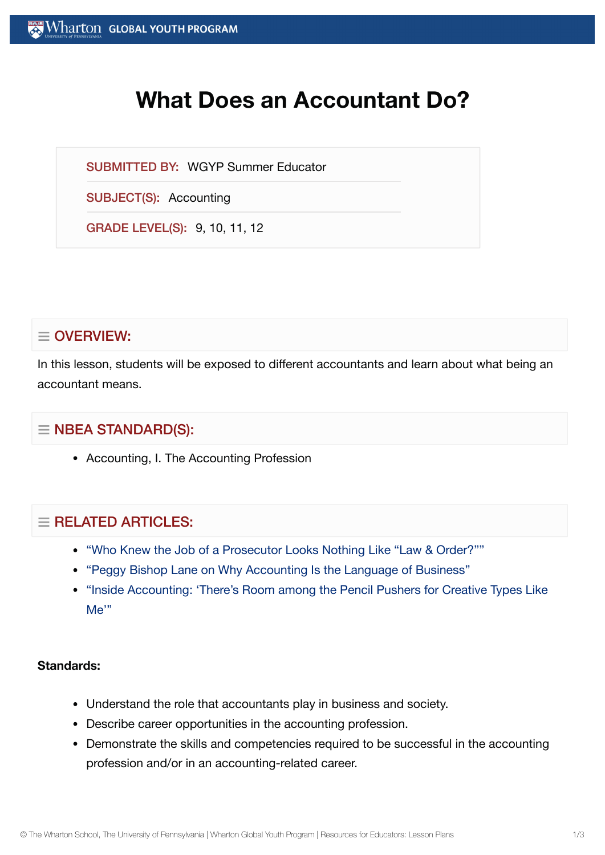# **What Does an Accountant Do?**

SUBMITTED BY: WGYP Summer Educator

SUBJECT(S): Accounting

GRADE LEVEL(S): 9, 10, 11, 12

# $\equiv$  OVERVIEW:

In this lesson, students will be exposed to different accountants and learn about what being an accountant means.

## $\equiv$  NBEA STANDARD(S):

• Accounting, I. The Accounting Profession

## $=$  RELATED ARTICLES:

- "Who Knew the Job of a Prosecutor [Looks Nothing](https://globalyouth.wharton.upenn.edu/articles/who-knew-the-job-of-a-prosecutor-looks-nothing-like-law-order/) Like "Law & Order?""
- "Peggy Bishop Lane on [Why Accounting](https://globalyouth.wharton.upenn.edu/articles/peggy-bishop-lane-on-why-accounting-is-the-language-of-business/) Is the Language of Business"
- "Inside Accounting: ['There's Room](https://globalyouth.wharton.upenn.edu/articles/inside-accounting-%e2%80%98there%e2%80%99s-room-among-the-pencil-pushers-for-creative-types-like-me%e2%80%99/) among the Pencil Pushers for Creative Types Like Me'"

#### **Standards:**

- Understand the role that accountants play in business and society.
- Describe career opportunities in the accounting profession.
- Demonstrate the skills and competencies required to be successful in the accounting profession and/or in an accounting-related career.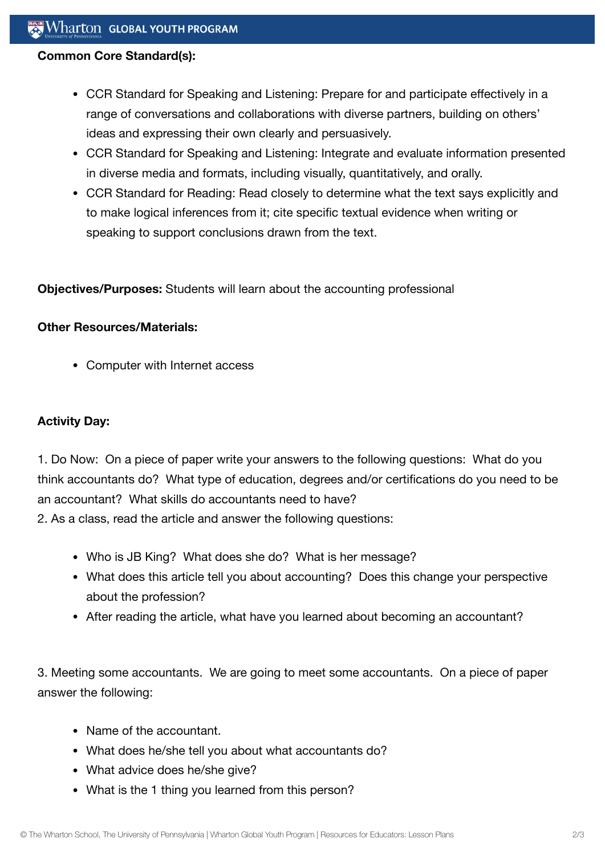#### **Common Core Standard(s):**

- CCR Standard for Speaking and Listening: Prepare for and participate effectively in a range of conversations and collaborations with diverse partners, building on others' ideas and expressing their own clearly and persuasively.
- CCR Standard for Speaking and Listening: Integrate and evaluate information presented in diverse media and formats, including visually, quantitatively, and orally.
- CCR Standard for Reading: Read closely to determine what the text says explicitly and to make logical inferences from it; cite specific textual evidence when writing or speaking to support conclusions drawn from the text.

**Objectives/Purposes:** Students will learn about the accounting professional

#### **Other Resources/Materials:**

Computer with Internet access

## **Activity Day:**

1. Do Now: On a piece of paper write your answers to the following questions: What do you think accountants do? What type of education, degrees and/or certifications do you need to be an accountant? What skills do accountants need to have?

2. As a class, read the article and answer the following questions:

- Who is JB King? What does she do? What is her message?
- What does this article tell you about accounting? Does this change your perspective about the profession?
- After reading the article, what have you learned about becoming an accountant?

3. Meeting some accountants. We are going to meet some accountants. On a piece of paper answer the following:

- Name of the accountant.
- What does he/she tell you about what accountants do?
- What advice does he/she give?
- What is the 1 thing you learned from this person?